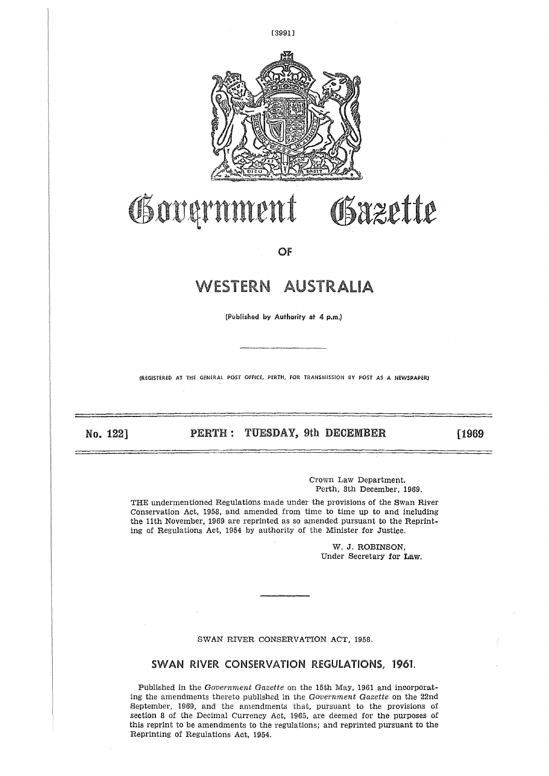

# OSxzette Governmen 广

OF

# **WESTERN AUSTRALIA**

(Published by Authority at 4 p.m.)

(REGISTERED AT THE GENERAL POST OFFICE, PERTH, FOR TRANSMISSION BY POST AS A NEWSPAPER!  $\frac{1}{\sqrt{1-\frac{1}{2}}}$ 

**No. 122]** 

**PERTH : TUESDAY, 9th DECEMBER**

[1969

Crown Law Department, Perth, 8th December, 1989.

THE undermentioned Regulations made under the provisions of the Swan River Conservation Act, 1958, and amended from time to time up to and including the 11th November, 1969 are reprinted as so amended pursuant to the Reprinting of Regulations Act, 1954 by authority of the Minister for Justice.

> W. *J.* ROBINSON, Under Secretary for Law.

# SWAN RIVER CONSERVATION ACT, 1958.

# SWAN RIVER CONSERVATION REGULATIONS, 1961.

Published in the *Government Gazette* on the 15th May, 1961 and incorporating the amendments thereto published in the *Government Gasette* on the 22nd September, 1969, and the amendments that, pursuant to the provisions of section 8 of the Decimal Currency Act, 1965, are deemed for the purposes of this reprint to be amendments to the regulations; and reprinted pursuant to the Reprinting of Regulations Act, 1954.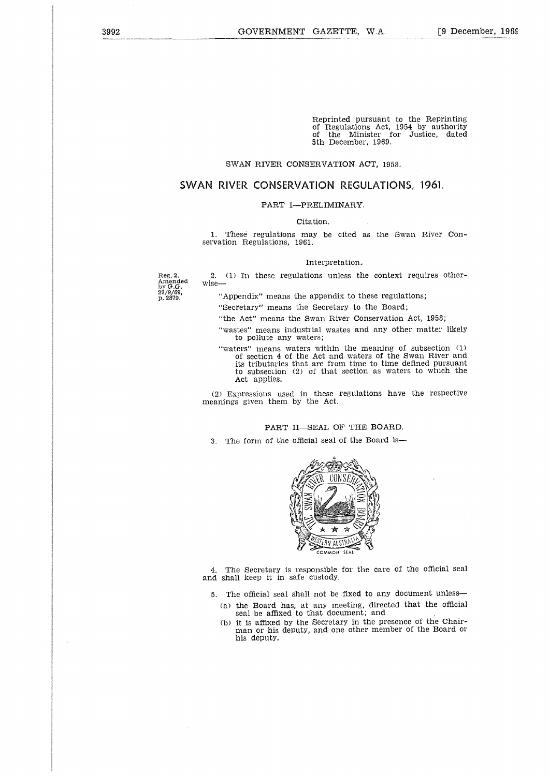Reprinted pursuant to the Reprinting of Regulations Act, 1954 by authority of the Minister for Justice, dated 5th December, 1969.

# SWAN RIVER CONSERVATION ACT, 1958.

# **SWAN RIVER CONSERVATION REGULATIONS, 1961.**

### PART 1—PRELIMINARY.

Citation.

1. These regulations may be cited as the Swan River Conservation Regulations, 1961.

#### Interpretation,

2. (1) In these regulations unless the context requires otherwise

Amended<br>by *G.G.*<br>22/9/69,<br>p. 2879.

Reg. 2.

"Appendix" means the appendix to these regulations;

"Secretary" means the Secretary to the Board;

"the Act" means the Swan River Conservation Act, 1958;

- "wastes" means industrial wastes and any other matter likely to pollute any waters;
- "waters" means waters within the meaning of subsection (1) of section 4 of the Act and waters of the Swan River and its tributaries that are from time to time defined pursuant to subsection (2) of that section as waters to which the Act applies.

(2) Expressions used in these regulations have the respective meanings given them by the Act.

# PART II—SEAL OF THE BOARD.

3. The form of the official seal of the Board is



4. The Secretary is responsible for the care of the official seal and shall keep it in safe custody.

- 5. The official seal shall not be fixed to any document unless
	- (a) the Board has, at any meeting, directed that the official seal be affixed to that document; and
	- (b) it is affixed by the Secretary in the presence of the Chairman or his deputy, and one other member of the Board or his deputy.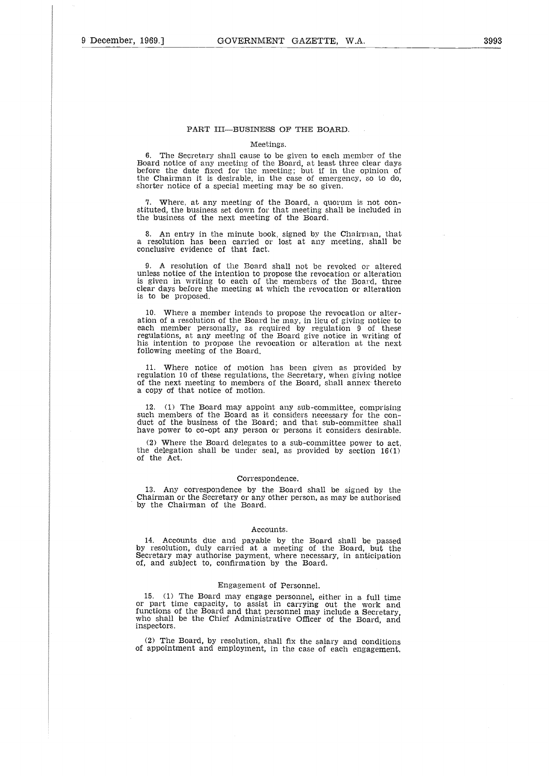### PART III—BUSINESS OF THE BOARD.

#### Meetings.

6. The Secretary shall cause to be given to each member of the Board notice of any meeting of the Board, at least three clear days before the date fixed for the meeting; but if in the opinion of the Chairman it is desirable, in the case of emergency, so to do, shorter notice of a special meeting may be so given.

7. Where, at any meeting of the Board, a quorum is not constituted, the business set down for that meeting shall be included in the business of the next meeting of the Board.

8. An entry in the minute hook, signed by the Chairman, that a resolution has been carried or lost at any meeting, shall be conclusive evidence of that fact.

9. A resolution of the Board shall not be revoked or altered unless notice of the intention to propose the revocation or alteration is given in writing to each of the members of the Board, three clear days before the meeting at which the revocation or alteration is to be proposed.

10. Where a member intends to propose the revocation or alteration of a resolution of the Board he may, in lieu of giving notice to each member personally, as required by regulation 9 of these regulations, at any meeting of the Board give notice in writing of his intention to propose the revocation or alteration at the next following meeting of the Board.

Where notice of motion has been given as provided by regulation 10 of these regulations, the Secretary, when giving notice of the next meeting to members of the Board, shall annex thereto a copy of that notice of motion.

12. (1) The Board may appoint any sub-committee, comprising such members of the Board as it considers necessary for the conduct of the business of the Board; and that sub-committee shall have power to co-opt any person or persons it considers desirable.

(2) Where the Board delegates to a sub-committee power to act, the delegation shall be under seal, as provided by section 16(1) of the Act.

#### Correspondence.

13. Any correspondence by the Board shall be signed by the Chairman or the Secretary or any other person, as may be authorised by the Chairman of the Board.

#### Accounts.

14. Accounts due and payable by the Board shall be passed by resolution, duly carried at a meeting of the Board, but the Secretary may authorise payment, where necessary, in anticipation of, and subject to, confirmation by the Board.

#### Engagement of Personnel.

15. (1) The Board may engage personnel, either in a full time<br>or part time capacity, to assist in carrying out the work and<br>functions of the Board and that personnel may include a Secretary<br>who shall be the Chief Administr inspectors.

(2) The Board, by resolution, shall fix the salary and conditions of appointment and employment, in the case of each engagement.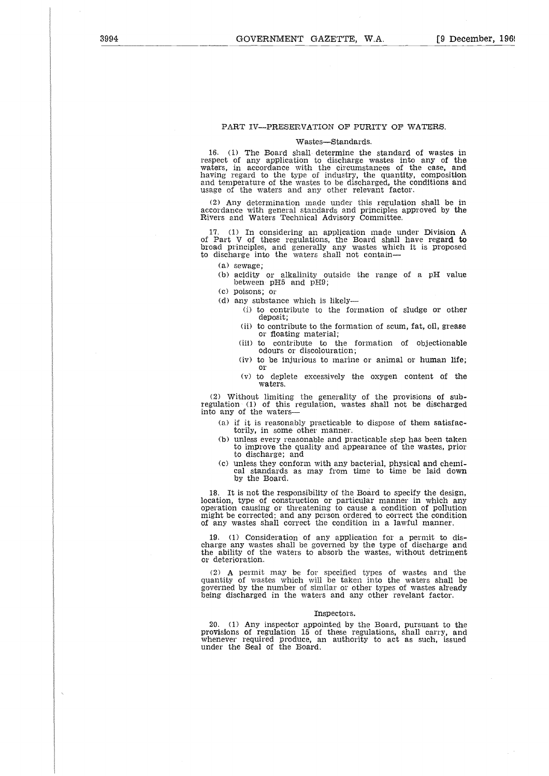# PART IV--PRESERVATION OF PURITY OF WATERS.

#### Wastes—Standards.

16. (1) The Board shall determine the standard of wastes in respect of any application to discharge wastes into any of the waters, in accordance with the circumstances of the case, and having regard to the type of industry, the quantity, composition and temperature of the wastes to be discharged, the conditions and usage of the waters and any other relevant factor.

(2) Any determination made under this regulation shall be in accordance with general standards and principles approved by the Rivers and Waters Technical Advisory Committee.

17. (1) In considering an application made under Division A of Part V of these regulations, the Board shall have regard to broad principles, and generally any wastes which it is proposed<br>to discharge into the waters shall not contain—

(a) sewage;

(b) acidity or alkalinity outside the range of a pH value between pH5 and pH9;

(c) poisons; or

- (d) any substance which is likely-
	- (i) to contribute to the formation of sludge or other deposit;
	- (ii) to contribute to the formation of scum, fat, oil, grease or floating material;
	- (iii) to contribute to the formation of objectionable odours or discolouration;
	- (iv) to be injurious to marine or animal or human life; or
	- (v) to deplete excessively the oxygen content of the waters.

(2) Without limiting the generality of the provisions of subregulation (1) of this regulation, wastes shall not be discharged into any of the waters

- (a) if it is reasonably practicable to dispose of them satisfactorily, in some other manner.
- (b) unless every reasonable and practicable step has been taken to improve the quality and appearance of the wastes, prior to discharge; and
- (c) unless they conform with any bacterial, physical and chemi-cal standards as may from time to time be laid down by the Board.

18. It is not the responsibility of the Board to specify the design, location, type of construction or particular manner in which any operation causing or threatening to cause a condition of pollution might be corrected; and any person ordered to correct the condition of any wastes shall correct the condition in a lawful manner.

19. (1) Consideration of any application for a permit to dis-charge any wastes shall be governed by the type of discharge and the ability of the waters to absorb the wastes, without detriment or deterioration.

(2) A permit may be for specified types of wastes and the quantity of wastes which will be taken into the waters shall be governed by the number of similar or other types of wastes already being discharged in the waters and any other revelant factor.

#### Inspectors.

20. (1) Any inspector appointed by the Board, pursuant to the provisions of regulation 15 of these regulations, shall carry, and whenever required produce, an authority to act as such, issued under the Seal of the Board.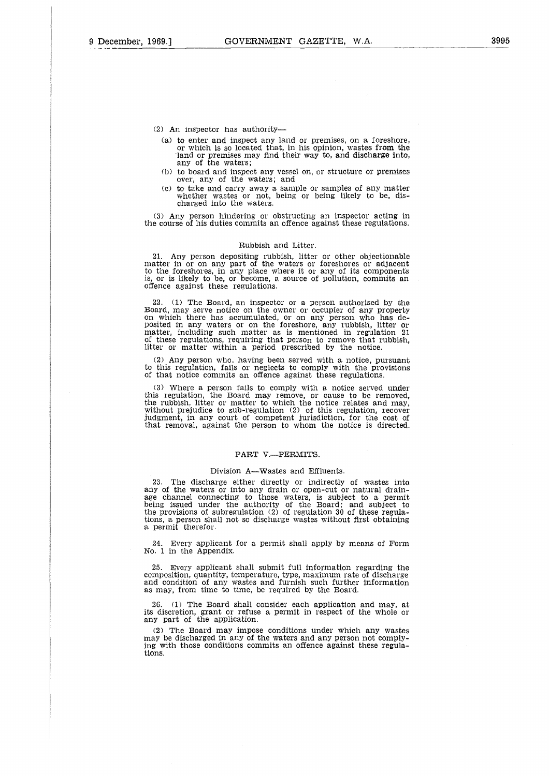(2) An inspector has authority

- (a) to enter and inspect any land or premises, on a foreshore or which is so located that, in his opinion, wastes from the land or premises may find their way to, and discharge into, any of the waters;
- (b) to board and inspect any vessel on, or structure or premises over, any of the waters; and
- (c) to take and carry away a sample or samples of any matter whether wastes or not, being or being likely to be, discharged into the waters.

(3) Any person hindering or obstructing an inspector acting in the course of his duties commits an offence against these regulations.

#### Rubbish and Litter.

21. Any person depositing rubbish, litter or other objectionable matter in or on any part of the waters or foreshores or adjacent to the foreshores, in any place where it or any of its components is, or is likely to be, or offence against these regulations.

22. (1) The Board, an inspector or a person authorised by the Board, may serve notice on the owner or occupier of any property on which there has accumulated, or on any person who has de-posited in any waters or on the foreshore, any rubbish, litter or matter, including such matter as is mentioned in regulation 21 of these regulations, requiring that person to remove that rubbish, litter or matter within a period prescribed by the notice.

(2) Any person who, having been served with a notice, pursuant to this regulation, fails or neglects to comply with the provisions of that notice commits an offence against these regulations.

(3) Where a person fails to comply with a notice served under this regulation, the Board may remove, or cause to be removed, the rubbish, litter or matter to which the notice relates and may, without prejudice to sub-regulation (2) of this regulation, recover judgment, in any court of competent jurisdiction, for the cost of that removal, against the person to whom the notice is directed.

# PART V.-PERMITS.

#### Division A—Wastes and Effluents,

23. The discharge either directly or indirectly of wastes into any of the waters or into any drain or open-cut or natural drain-age channel connecting to those waters, is subject to a permit being issued under the authority of the Board; and subject to the provisions of subregulation (2) of regulation 30 of these regulations, a person shall not so discharge wastes without first obtaining a permit therefor.

24. Every applicant for a permit shall apply by means of Form No. 1 in the Appendix.

25. Every applicant shall submit full information regarding the composition, quantity, temperature, type, maximum rate of discharge and condition of any wastes and furnish such further information as may, from time to time, be required by the Board.

26. (1) The Board shall consider each application and may, at its discretion, grant or refuse a permit in respect of the whole or any part of the application.

(2) The Board may impose conditions under which any wastes may be discharged in any of the waters and any person not complying with those conditions commits an offence against these regulations.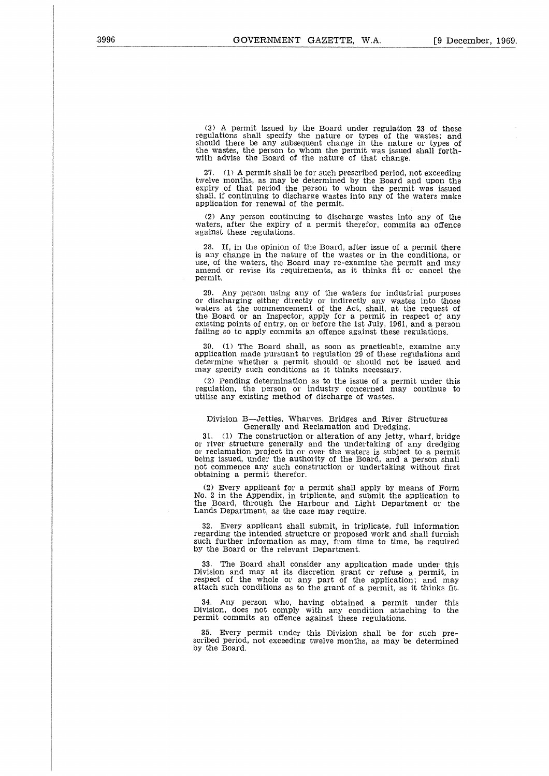(3) A permit issued by the Board under regulation 23 of these regulations shall specify the nature or types of the wastes; and should there be any subsequent change in the nature or types of the wastes, the person to whom the permit was issued shall forth-with advise the Board of the nature of that change.

27. (1) A permit shall be for such prescribed period, not exceeding twelve months, as may be determined by the Board and upon the expiry of that period the person to whom the permit was issued shall, if continuing to discharge wastes into any of the waters make application for renewal of the permit.

(2) Any person continuing to discharge wastes into any of the waters, after the expiry of a permit therefor, commits an offence against these regulations.

28. If, in the opinion of the Board, after issue of a permit there is any change in the nature of the wastes or in the conditions, or use, of the waters, the Board may re-examine the permit and may amend or revise its requirements, as it thinks fit or cancel the permit.

29. Any person using any of the waters for industrial purposes or discharging either directly or indirectly any wastes into those waters at the commencement of the Act, shall, at the request of the Board or an Inspector, apply for a permit in respect of any existing points of entry, on or before the 1st July, 1961, and a person failing so to apply commits an offence against these regulations.

 $(1)$  The Board shall, as soon as practicable, examine any application made pursuant to regulation 29 of these regulations and determine whether a permit should or should not be issued and may specify such conditions as it thinks necessary.

(2) Pending determination as to the issue of a permit under this regulation, the person or industry concerned may continue to utilise any existing method of discharge of wastes.

#### Division B—Jetties, Wharves, Bridges and River Structures Generally and Reclamation and Dredging.

31. (1) The construction or alteration of any jetty, wharf, bridge or river structure generally and the undertaking of any dredging or reclamation project in or over the waters is subject to a permi<br>being issued, under the authority of the Board, and a person shal not commence any such construction or undertaking without first obtaining a permit therefor.

(2) Every applicant for a permit shall apply by means of Form No. 2 in the Appendix, in triplicate, and submit the application to the Board, through the Harbour and Light Department or the Lands Department, as the case may require.

32. Every applicant shall submit, in triplicate, full information regarding the intended structure or proposed work and shall furnish such further information as may, from time to time, be required by the Board or the relevant Department.

The Board shall consider any application made under this Division and may at its discretion grant or refuse a permit, in respect of the whole or any part of the application; and may attach such conditions as to the grant of a permit, as it thinks fit.

34. Any person who, having obtained a permit under this Division, does not comply with any condition attaching to the permit commits an offence against these regulations.

35. Every permit under this Division shall be for such prescribed period, not exceeding twelve months, as may be determined by the Board.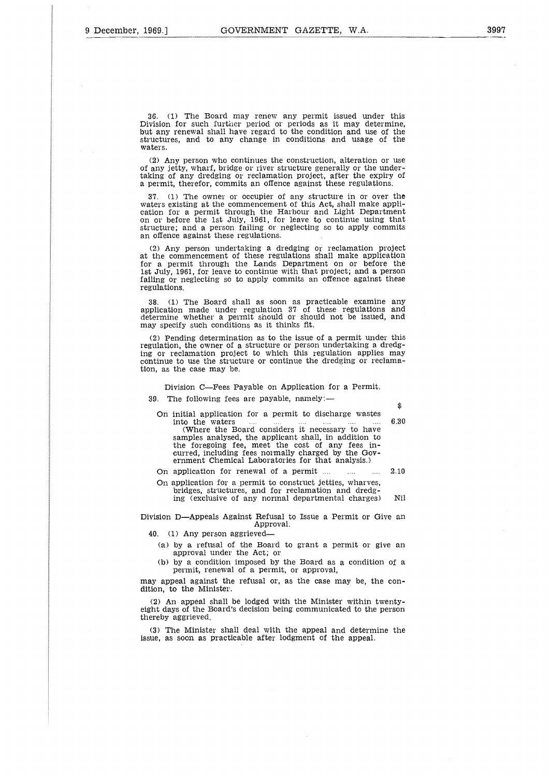36. (1) The Board may renew any permit issued under this Division for such further period or periods as it may determine, but any renewal shall have regard to the condition and use of the structures, and to any change in conditions and usage of the waters.

(2) Any person who continues the construction, alteration or use of any jetty, wharf, bridge or river structure generally or the undertaking of any dredging or reclamation project, after the expiry of a permit, therefor, commits an offence against these regulations.

37. (1) The owner or occupier of any structure in or over the waters existing at the commencement of this Act, shall make application for a permit through the Harbour and Light Department on or before the 1st July, 1961, for leave to continue using that structure; and a person failing or neglecting so to apply commits an offence against these regulations.

(2) Any person undertaking a dredging or reclamation project at the commencement of these regulations shall make application for a permit through the Lands Department on or before the 1st July, 1961, for leave to continue with that project; and a person failing or neglecting so to apply commits an offence against these regulations,

38. (1) The Board shall as soon as practicable examine any application made under regulation 37 of these regulations and determine whether a permit should or should not be issued, and may specify such conditions as it thinks fit.

(2) Pending determination as to the issue of a permit under this regulation, the owner of a structure or person undertaking a dredging or reclamation project to which this regulation applies may continue to use the structure or continue the dredging or reclamation, as the case may be.

Division C—Fees Payable on Application for a Permit.

The following fees are payable, namely:-

On initial application for a permit to discharge wastes<br>into the waters  $\ldots$   $\ldots$   $\ldots$   $\ldots$   $\ldots$ on made under regulation 37 of these regulations and<br>eit whether a permit should or should not be issued, and<br>eity such conditions as it thinks fit.<br>
In the owner of a structure or person undertaking a dredg-<br>
in, the own (Where the Board considers it necessary to have samples analysed, the applicant shall, in addition to the foregoing fee, meet the cost of any fees incurred, including fees normally charged by the Government Chemical Laboratories for that analysis.) Interior to use the structure or continue the dredging or reclama-<br>as the case may be.<br>Division C—Fees Payable on Application for a Permit.<br>The following fees are payable, namely:—<br>On initial application for a permit to di initial application for a permit to discharge wastes<br>into the waters<br>full commoders it necessary to have<br>samples analysed, the applicant shall, in addition to<br>the foregoing fee, meet the cost of any fees in-<br>curred, inclu

On application for a permit to construct jetties, wharves, bridges, structures, and for reclamation and dredg-

Division D—Appeals Against Refusal to Issue a Permit or Give an Approval.

40. (1) Any person aggrieved

- (a) by a refusal of the Board to grant a permit or give an approval under the Act; or
- (b) by a condition imposed by the Board as a condition of a permit, renewal of a permit, or approval,

may appeal against the refusal or, as the case may be, the condition, to the Minister.

(2) An appeal shall be lodged with the Minister within twentyeight days of the Board's decision being communicated to the person thereby aggrieved.

(3) The Minister shall deal with the appeal and determine the issue, as soon as practicable after lodgment of the appeal.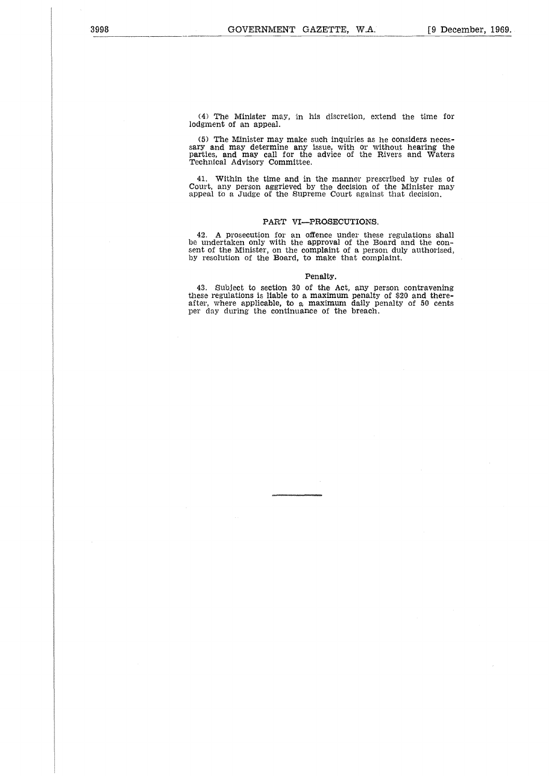(4) The Minister may, in his discretion, extend the time for lodgment of an appeal.

(5) The Minister may make such inquiries as he considers necessary and may determine any issue, with or without hearing the parties, and may call for the advice of the Rivers and Waters Technical Advisory Committee.

41. Within the time and in the manner prescribed by rules of Court, any person aggrieved by the decision of the Minister may appeal to a Judge of the Supreme Court against that decision.

# PART VI—PROSECUTIONS.

42. A prosecution for an offence under these regulations shall be undertaken only with the approval of the Board and the consent of the Minister, on the complaint of a person duly authorised, by resolution of the Board, to make that complaint.

### Penalty.

43. Subject to section 30 of the Act, any person contravening these regulations is liable to a maximum penalty of \$20 and thereafter, where applicable, to a maximum daily penalty of 50 cents per day during the continuance of the breach.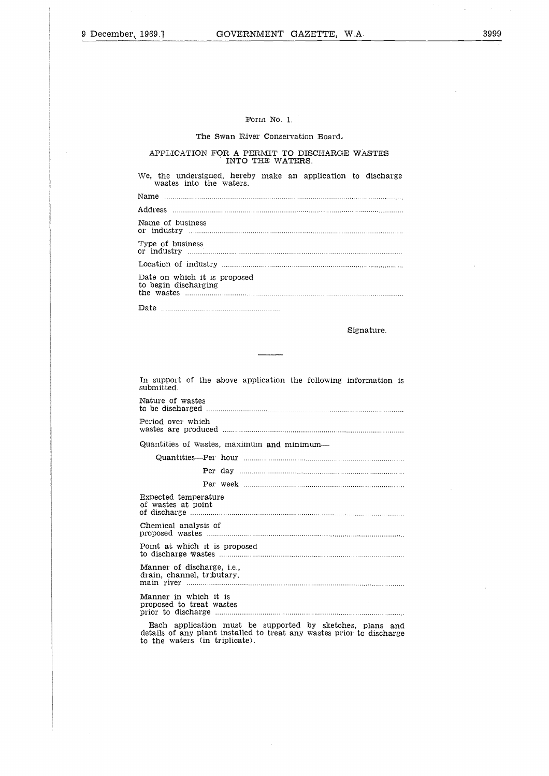#### Form No. 1.

# The Swan River Conservation Board,

#### APPLICATION FOR A PERMIT TO DISCHARGE WASTES INTO THE WATERS.

| Form No. 1.                                                                             |
|-----------------------------------------------------------------------------------------|
| The Swan River Conservation Board.                                                      |
| APPLICATION FOR A PERMIT TO DISCHARGE WASTES<br>INTO THE WATERS.                        |
| We, the undersigned, hereby make an application to discharge<br>wastes into the waters. |
|                                                                                         |
|                                                                                         |
| Name of business                                                                        |
| Type of business                                                                        |
|                                                                                         |
| Date on which it is proposed<br>to begin discharging                                    |
|                                                                                         |
| Signature.                                                                              |

In support of the above application the following information is submitted. Nature of wastes to be discharged Period over which ..<br>..<br>.e<br>.e wastes are produced Quantities of wastes, maximum and minimum-  $\begin{bmatrix} 1 \\ 2 \\ 3 \end{bmatrix}$ Quantities—Per hour he above<br>s<br>hh<br>ced ..........<br>stes, maxi<br>Per hour<br>Per week<br>ature  $\begin{bmatrix} 1 \\ 0 \\ 0 \\ 0 \\ 0 \\ 0 \end{bmatrix}$ Expected temperature In support of the above a<br>
submitted.<br>
Nature of wastes<br>
to be discharged ....................<br>
Period over which<br>
wastes are produced ..........<br>
Quantities of wastes, maxin<br>
Quantities—Per hour ...<br>
Per day ....<br>
Fxpecte of discharge Chemical analysis of s<br>givic<br>us<br>us<br>lit proposed wastes Point at which it is proposed rue de de le trait de la proporcie de la proporcie de la proporcie de la proporcie de la proporcie de la propo<br>De la proporcie de la proporcie de la proporcie de la proporcie de la proporcie de la proporcie de la proporci to discharge wastes Manner of discharge, i.e., drain, channel, tributary, main river Manner in which it is n<br>| as districts<br>| al districts proposed to treat wastes prior to discharge 

Each application must be supported by sketches, plans and details of any plant installed to treat any wastes prior to discharge to the waters (in triplicate).